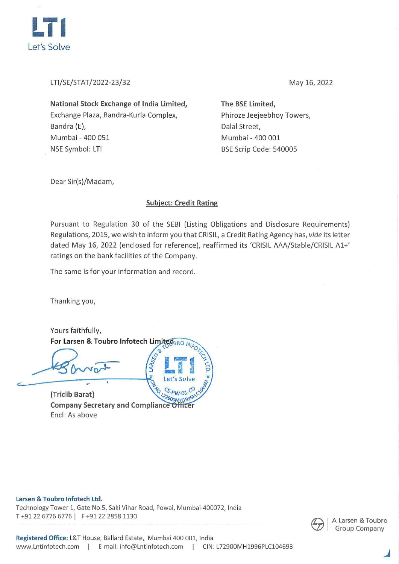

LTI/SE/STAT/2022-23/32 May 16, 2022

**National Stock Exchange of India Limited,**  Exchange Plaza, Bandra-Kurla Complex, Bandra **(E),**  Mumbai - 400 051 NSE Symbol: LTI

**The BSE Limited,**  Phiroze Jeejeebhoy Towers, Dalal Street, Mumbai - 400 001 BSE Scrip Code: 540005

Dear Sir(s)/Madam,

# **Subject: Credit Rating**

Pursuant to Regulation 30 of the SEBI (Listing Obligations and Disclosure Requirements) Regulations, 2015, we wish to inform you that CRISIL, a Credit Rating Agency has, vide its letter dated May 16, 2022 (enclosed for reference), reaffirmed its 'CRISIL AAA/Stable/CRISIL Al+' ratings on the bank facilities of the Company.

The same is for your information and record.

Thanking you,

Yours faithfully, **For Larsen & Toubro Infotech LimitedBRO** *II***</sub>** 

\_.-.ll:8o,vvcr *l* **.Lil~\ c:.:...-------::--;----, -~ Let's** Solve \*

**(Tridib Barat) Company Secretary and Compliance Officer** Encl: As above



**Larsen & Toubro lnfotech Ltd.** 

Technology Tower 1, Gate No.5, Saki Vihar Road, Powai, Mumbai-400072, India T +91 22 6776 6776 I **F** +91 22 2858 1130

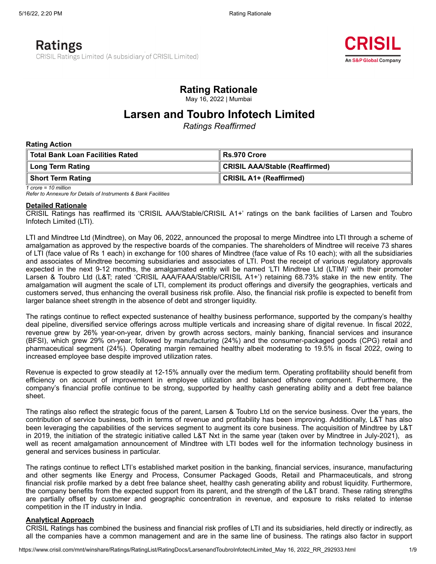

# **Rating Rationale**

May 16, 2022 | Mumbai

# **Larsen and Toubro Infotech Limited**

*Ratings Reaffirmed*

### **Rating Action**

| l Total Bank Loan Facilities Rated | <b>Rs.970 Crore</b>            |  |
|------------------------------------|--------------------------------|--|
| Long Term Rating                   | CRISIL AAA/Stable (Reaffirmed) |  |
| Short Term Rating                  | <b>CRISIL A1+ (Reaffirmed)</b> |  |

*1 crore = 10 million Refer to Annexure for Details of Instruments & Bank Facilities*

#### **Detailed Rationale**

CRISIL Ratings has reaffirmed its 'CRISIL AAA/Stable/CRISIL A1+' ratings on the bank facilities of Larsen and Toubro Infotech Limited (LTI).

LTI and Mindtree Ltd (Mindtree), on May 06, 2022, announced the proposal to merge Mindtree into LTI through a scheme of amalgamation as approved by the respective boards of the companies. The shareholders of Mindtree will receive 73 shares of LTI (face value of Rs 1 each) in exchange for 100 shares of Mindtree (face value of Rs 10 each); with all the subsidiaries and associates of Mindtree becoming subsidiaries and associates of LTI. Post the receipt of various regulatory approvals expected in the next 9-12 months, the amalgamated entity will be named 'LTI Mindtree Ltd (LTIM)' with their promoter Larsen & Toubro Ltd (L&T; rated 'CRISIL AAA/FAAA/Stable/CRISIL A1+') retaining 68.73% stake in the new entity. The amalgamation will augment the scale of LTI, complement its product offerings and diversify the geographies, verticals and customers served, thus enhancing the overall business risk profile. Also, the financial risk profile is expected to benefit from larger balance sheet strength in the absence of debt and stronger liquidity.

The ratings continue to reflect expected sustenance of healthy business performance, supported by the company's healthy deal pipeline, diversified service offerings across multiple verticals and increasing share of digital revenue. In fiscal 2022, revenue grew by 26% year-on-year, driven by growth across sectors, mainly banking, financial services and insurance (BFSI), which grew 29% on-year, followed by manufacturing (24%) and the consumer-packaged goods (CPG) retail and pharmaceutical segment (24%). Operating margin remained healthy albeit moderating to 19.5% in fiscal 2022, owing to increased employee base despite improved utilization rates.

Revenue is expected to grow steadily at 12-15% annually over the medium term. Operating profitability should benefit from efficiency on account of improvement in employee utilization and balanced offshore component. Furthermore, the company's financial profile continue to be strong, supported by healthy cash generating ability and a debt free balance sheet.

The ratings also reflect the strategic focus of the parent, Larsen & Toubro Ltd on the service business. Over the years, the contribution of service business, both in terms of revenue and profitability has been improving. Additionally, L&T has also been leveraging the capabilities of the services segment to augment its core business. The acquisition of Mindtree by L&T in 2019, the initiation of the strategic initiative called L&T Nxt in the same year (taken over by Mindtree in July-2021), as well as recent amalgamation announcement of Mindtree with LTI bodes well for the information technology business in general and services business in particular.

The ratings continue to reflect LTI's established market position in the banking, financial services, insurance, manufacturing and other segments like Energy and Process, Consumer Packaged Goods, Retail and Pharmaceuticals, and strong financial risk profile marked by a debt free balance sheet, healthy cash generating ability and robust liquidity. Furthermore, the company benefits from the expected support from its parent, and the strength of the L&T brand. These rating strengths are partially offset by customer and geographic concentration in revenue, and exposure to risks related to intense competition in the IT industry in India.

#### **Analytical Approach**

CRISIL Ratings has combined the business and financial risk profiles of LTI and its subsidiaries, held directly or indirectly, as all the companies have a common management and are in the same line of business. The ratings also factor in support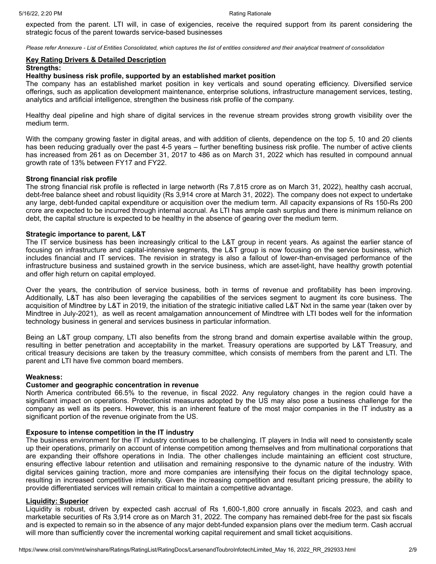expected from the parent. LTI will, in case of exigencies, receive the required support from its parent considering the strategic focus of the parent towards service-based businesses

Please refer Annexure - List of Entities Consolidated, which captures the list of entities considered and their analytical treatment of consolidation

#### **Key Rating Drivers & Detailed Description**

#### **Strengths:**

#### **Healthy business risk profile, supported by an established market position**

The company has an established market position in key verticals and sound operating efficiency. Diversified service offerings, such as application development maintenance, enterprise solutions, infrastructure management services, testing, analytics and artificial intelligence, strengthen the business risk profile of the company.

Healthy deal pipeline and high share of digital services in the revenue stream provides strong growth visibility over the medium term.

With the company growing faster in digital areas, and with addition of clients, dependence on the top 5, 10 and 20 clients has been reducing gradually over the past 4-5 years – further benefiting business risk profile. The number of active clients has increased from 261 as on December 31, 2017 to 486 as on March 31, 2022 which has resulted in compound annual growth rate of 13% between FY17 and FY22.

#### **Strong financial risk profile**

The strong financial risk profile is reflected in large networth (Rs 7,815 crore as on March 31, 2022), healthy cash accrual, debt-free balance sheet and robust liquidity (Rs 3,914 crore at March 31, 2022). The company does not expect to undertake any large, debt-funded capital expenditure or acquisition over the medium term. All capacity expansions of Rs 150-Rs 200 crore are expected to be incurred through internal accrual. As LTI has ample cash surplus and there is minimum reliance on debt, the capital structure is expected to be healthy in the absence of gearing over the medium term.

#### **Strategic importance to parent, L&T**

The IT service business has been increasingly critical to the L&T group in recent years. As against the earlier stance of focusing on infrastructure and capital-intensive segments, the L&T group is now focusing on the service business, which includes financial and IT services. The revision in strategy is also a fallout of lower-than-envisaged performance of the infrastructure business and sustained growth in the service business, which are asset-light, have healthy growth potential and offer high return on capital employed.

Over the years, the contribution of service business, both in terms of revenue and profitability has been improving. Additionally, L&T has also been leveraging the capabilities of the services segment to augment its core business. The acquisition of Mindtree by L&T in 2019, the initiation of the strategic initiative called L&T Nxt in the same year (taken over by Mindtree in July-2021), as well as recent amalgamation announcement of Mindtree with LTI bodes well for the information technology business in general and services business in particular information.

Being an L&T group company, LTI also benefits from the strong brand and domain expertise available within the group, resulting in better penetration and acceptability in the market. Treasury operations are supported by L&T Treasury, and critical treasury decisions are taken by the treasury committee, which consists of members from the parent and LTI. The parent and LTI have five common board members.

#### **Weakness:**

## **Customer and geographic concentration in revenue**

North America contributed 66.5% to the revenue, in fiscal 2022. Any regulatory changes in the region could have a significant impact on operations. Protectionist measures adopted by the US may also pose a business challenge for the company as well as its peers. However, this is an inherent feature of the most major companies in the IT industry as a significant portion of the revenue originate from the US.

# **Exposure to intense competition in the IT industry**

The business environment for the IT industry continues to be challenging. IT players in India will need to consistently scale up their operations, primarily on account of intense competition among themselves and from multinational corporations that are expanding their offshore operations in India. The other challenges include maintaining an efficient cost structure, ensuring effective labour retention and utilisation and remaining responsive to the dynamic nature of the industry. With digital services gaining traction, more and more companies are intensifying their focus on the digital technology space, resulting in increased competitive intensity. Given the increasing competition and resultant pricing pressure, the ability to provide differentiated services will remain critical to maintain a competitive advantage.

### **Liquidity: Superior**

Liquidity is robust, driven by expected cash accrual of Rs 1,600-1,800 crore annually in fiscals 2023, and cash and marketable securities of Rs 3,914 crore as on March 31, 2022. The company has remained debt-free for the past six fiscals and is expected to remain so in the absence of any major debt-funded expansion plans over the medium term. Cash accrual will more than sufficiently cover the incremental working capital requirement and small ticket acquisitions.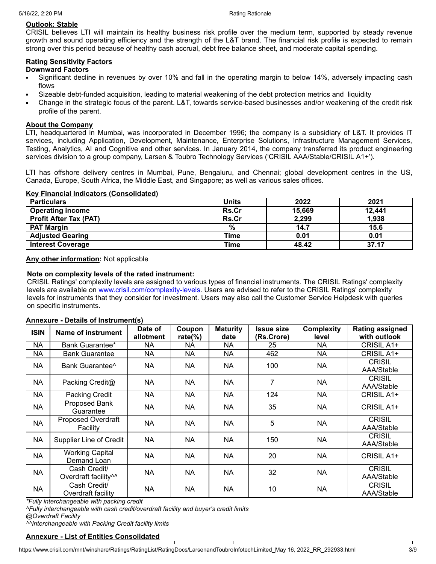# **Outlook: Stable**

CRISIL believes LTI will maintain its healthy business risk profile over the medium term, supported by steady revenue growth and sound operating efficiency and the strength of the L&T brand. The financial risk profile is expected to remain strong over this period because of healthy cash accrual, debt free balance sheet, and moderate capital spending.

# **Rating Sensitivity Factors**

# **Downward Factors**

- Significant decline in revenues by over 10% and fall in the operating margin to below 14%, adversely impacting cash flows
- Sizeable debt-funded acquisition, leading to material weakening of the debt protection metrics and liquidity
- Change in the strategic focus of the parent. L&T, towards service-based businesses and/or weakening of the credit risk profile of the parent.

## **About the Company**

LTI, headquartered in Mumbai, was incorporated in December 1996; the company is a subsidiary of L&T. It provides IT services, including Application, Development, Maintenance, Enterprise Solutions, Infrastructure Management Services, Testing, Analytics, AI and Cognitive and other services. In January 2014, the company transferred its product engineering services division to a group company, Larsen & Toubro Technology Services ('CRISIL AAA/Stable/CRISIL A1+').

LTI has offshore delivery centres in Mumbai, Pune, Bengaluru, and Chennai; global development centres in the US, Canada, Europe, South Africa, the Middle East, and Singapore; as well as various sales offices.

## **Key Financial Indicators (Consolidated)**

| <b>Particulars</b>            | Units | 2022   | 2021   |
|-------------------------------|-------|--------|--------|
| <b>Operating income</b>       | Rs.Cr | 15,669 | 12,441 |
| <b>Profit After Tax (PAT)</b> | Rs.Cr | 2,299  | 1,938  |
| <b>PAT Margin</b>             | $\%$  | 14.7   | 15.6   |
| <b>Adjusted Gearing</b>       | Time  | 0.01   | 0.01   |
| <b>Interest Coverage</b>      | Time  | 48.42  | 37.17  |

### **Any other information:** Not applicable

### **Note on complexity levels of the rated instrument:**

CRISIL Ratings' complexity levels are assigned to various types of financial instruments. The CRISIL Ratings' complexity levels are available on [www.crisil.com/complexity-levels](http://www.crisil.com/complexity-levels). Users are advised to refer to the CRISIL Ratings' complexity levels for instruments that they consider for investment. Users may also call the Customer Service Helpdesk with queries on specific instruments.

| <b>ISIN</b> | Name of instrument                               | Date of<br>allotment | Coupon<br>rate $(\%)$ | <b>Maturity</b><br>date | <b>Issue size</b><br>(Rs.Crore) | <b>Complexity</b><br>level | <b>Rating assigned</b><br>with outlook |
|-------------|--------------------------------------------------|----------------------|-----------------------|-------------------------|---------------------------------|----------------------------|----------------------------------------|
| NA          | Bank Guarantee*                                  | <b>NA</b>            | <b>NA</b>             | <b>NA</b>               | 25                              | NA                         | CRISIL A1+                             |
| NA          | <b>Bank Guarantee</b>                            | <b>NA</b>            | <b>NA</b>             | <b>NA</b>               | 462                             | <b>NA</b>                  | CRISIL A1+                             |
| <b>NA</b>   | Bank Guarantee <sup>^</sup>                      | <b>NA</b>            | <b>NA</b>             | <b>NA</b>               | 100                             | <b>NA</b>                  | <b>CRISIL</b><br>AAA/Stable            |
| <b>NA</b>   | Packing Credit@                                  | <b>NA</b>            | <b>NA</b>             | <b>NA</b>               | 7                               | <b>NA</b>                  | <b>CRISIL</b><br>AAA/Stable            |
| NA          | Packing Credit                                   | <b>NA</b>            | <b>NA</b>             | <b>NA</b>               | 124                             | <b>NA</b>                  | CRISIL A1+                             |
| NA          | Proposed Bank<br>Guarantee                       | <b>NA</b>            | <b>NA</b>             | <b>NA</b>               | 35                              | <b>NA</b>                  | CRISIL A1+                             |
| <b>NA</b>   | <b>Proposed Overdraft</b><br>Facility            | <b>NA</b>            | <b>NA</b>             | <b>NA</b>               | 5                               | <b>NA</b>                  | <b>CRISIL</b><br>AAA/Stable            |
| <b>NA</b>   | <b>Supplier Line of Credit</b>                   | <b>NA</b>            | <b>NA</b>             | <b>NA</b>               | 150                             | <b>NA</b>                  | <b>CRISIL</b><br>AAA/Stable            |
| <b>NA</b>   | <b>Working Capital</b><br>Demand Loan            | <b>NA</b>            | <b>NA</b>             | <b>NA</b>               | 20                              | <b>NA</b>                  | CRISIL A1+                             |
| NA          | Cash Credit/<br>Overdraft facility <sup>^^</sup> | <b>NA</b>            | NA                    | <b>NA</b>               | 32                              | <b>NA</b>                  | <b>CRISIL</b><br>AAA/Stable            |
| NA          | Cash Credit/<br>Overdraft facility               | <b>NA</b>            | <b>NA</b>             | NA.                     | 10                              | <b>NA</b>                  | <b>CRISIL</b><br>AAA/Stable            |

#### **Annexure - Details of Instrument(s)**

*\*Fully interchangeable with packing credit*

*^Fully interchangeable with cash credit/overdraft facility and buyer's credit limits*

*@Overdraft Facility*

*^^Interchangeable with Packing Credit facility limits*

# **Annexure - List of Entities Consolidated**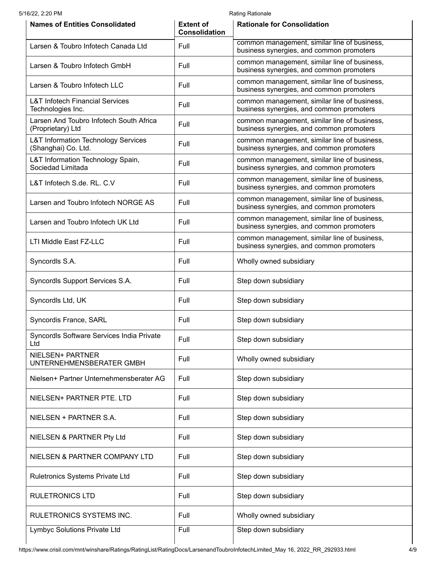5/16/22, 2:20 PM Rationale Rationale

| <b>Names of Entities Consolidated</b>                                 | <b>Extent of</b><br><b>Consolidation</b> | <b>Rationale for Consolidation</b>                                                       |
|-----------------------------------------------------------------------|------------------------------------------|------------------------------------------------------------------------------------------|
| Larsen & Toubro Infotech Canada Ltd                                   | Full                                     | common management, similar line of business,<br>business synergies, and common promoters |
| Larsen & Toubro Infotech GmbH                                         | Full                                     | common management, similar line of business,<br>business synergies, and common promoters |
| Larsen & Toubro Infotech LLC                                          | Full                                     | common management, similar line of business,<br>business synergies, and common promoters |
| <b>L&amp;T Infotech Financial Services</b><br>Technologies Inc.       | Full                                     | common management, similar line of business,<br>business synergies, and common promoters |
| Larsen And Toubro Infotech South Africa<br>(Proprietary) Ltd          | Full                                     | common management, similar line of business,<br>business synergies, and common promoters |
| <b>L&amp;T Information Technology Services</b><br>(Shanghai) Co. Ltd. | Full                                     | common management, similar line of business,<br>business synergies, and common promoters |
| L&T Information Technology Spain,<br>Sociedad Limitada                | Full                                     | common management, similar line of business,<br>business synergies, and common promoters |
| L&T Infotech S.de. RL. C.V                                            | Full                                     | common management, similar line of business,<br>business synergies, and common promoters |
| Larsen and Toubro Infotech NORGE AS                                   | Full                                     | common management, similar line of business,<br>business synergies, and common promoters |
| Larsen and Toubro Infotech UK Ltd                                     | Full                                     | common management, similar line of business,<br>business synergies, and common promoters |
| LTI Middle East FZ-LLC                                                | Full                                     | common management, similar line of business,<br>business synergies, and common promoters |
| Syncordls S.A.                                                        | Full                                     | Wholly owned subsidiary                                                                  |
| Syncordls Support Services S.A.                                       | Full                                     | Step down subsidiary                                                                     |
| Syncordls Ltd, UK                                                     | Full                                     | Step down subsidiary                                                                     |
| Syncordis France, SARL                                                | Full                                     | Step down subsidiary                                                                     |
| Syncordls Software Services India Private<br>Ltd                      | Full                                     | Step down subsidiary                                                                     |
| NIELSEN+ PARTNER<br>UNTERNEHMENSBERATER GMBH                          | Full                                     | Wholly owned subsidiary                                                                  |
| Nielsen+ Partner Unternehmensberater AG                               | Full                                     | Step down subsidiary                                                                     |
| NIELSEN+ PARTNER PTE. LTD                                             | Full                                     | Step down subsidiary                                                                     |
| NIELSEN + PARTNER S.A.                                                | Full                                     | Step down subsidiary                                                                     |
| NIELSEN & PARTNER Pty Ltd                                             | Full                                     | Step down subsidiary                                                                     |
| NIELSEN & PARTNER COMPANY LTD                                         | Full                                     | Step down subsidiary                                                                     |
| Ruletronics Systems Private Ltd                                       | Full                                     | Step down subsidiary                                                                     |
| <b>RULETRONICS LTD</b>                                                | Full                                     | Step down subsidiary                                                                     |
| RULETRONICS SYSTEMS INC.                                              | Full                                     | Wholly owned subsidiary                                                                  |
| Lymbyc Solutions Private Ltd                                          | Full                                     | Step down subsidiary                                                                     |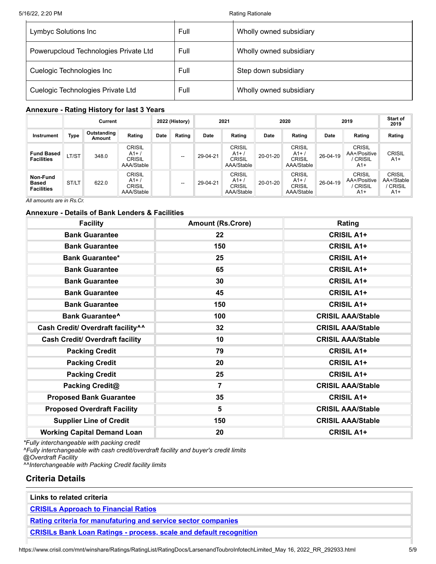| <b>Lymbyc Solutions Inc</b>           | Full | Wholly owned subsidiary |
|---------------------------------------|------|-------------------------|
| Powerupcloud Technologies Private Ltd | Full | Wholly owned subsidiary |
| Cuelogic Technologies Inc             | Full | Step down subsidiary    |
| Cuelogic Technologies Private Ltd     | Full | Wholly owned subsidiary |

# **Annexure - Rating History for last 3 Years**

|                                        | Current |                       |                                                       | 2021<br>2022 (History) |                   | 2020     |                                                       | 2019     |                                                       | <b>Start of</b><br>2019 |                                                    |                                                       |
|----------------------------------------|---------|-----------------------|-------------------------------------------------------|------------------------|-------------------|----------|-------------------------------------------------------|----------|-------------------------------------------------------|-------------------------|----------------------------------------------------|-------------------------------------------------------|
| Instrument                             | Type    | Outstanding<br>Amount | Rating                                                | Date                   | Rating            | Date     | Rating                                                | Date     | Rating                                                | Date                    | Rating                                             | Rating                                                |
| <b>Fund Based</b><br><b>Facilities</b> | LT/ST   | 348.0                 | CRISIL<br>$A1+$<br>CRISIL<br>AAA/Stable               |                        | $\hspace{0.05cm}$ | 29-04-21 | <b>CRISIL</b><br>$A1+$<br>CRISIL<br>AAA/Stable        | 20-01-20 | <b>CRISIL</b><br>$A1+$<br><b>CRISIL</b><br>AAA/Stable | 26-04-19                | <b>CRISIL</b><br>AA+/Positive<br>' CRISIL<br>$A1+$ | <b>CRISIL</b><br>$A1+$                                |
| Non-Fund<br>Based<br><b>Facilities</b> | ST/LT   | 622.0                 | <b>CRISIL</b><br>$A1+$<br><b>CRISIL</b><br>AAA/Stable |                        | $\hspace{0.05cm}$ | 29-04-21 | <b>CRISIL</b><br>$A1+$<br><b>CRISIL</b><br>AAA/Stable | 20-01-20 | <b>CRISIL</b><br>$A1+$<br><b>CRISIL</b><br>AAA/Stable | 26-04-19                | <b>CRISIL</b><br>AA+/Positive<br>/ CRISIL<br>$A1+$ | <b>CRISIL</b><br>AA+/Stable<br><b>CRISIL</b><br>$A1+$ |

*All amounts are in Rs.Cr.*

#### **Annexure - Details of Bank Lenders & Facilities**

| <b>Facility</b>                        | <b>Amount (Rs.Crore)</b> | Rating                   |
|----------------------------------------|--------------------------|--------------------------|
| <b>Bank Guarantee</b>                  | 22                       | <b>CRISIL A1+</b>        |
| <b>Bank Guarantee</b>                  | 150                      | <b>CRISIL A1+</b>        |
| <b>Bank Guarantee*</b>                 | 25                       | <b>CRISIL A1+</b>        |
| <b>Bank Guarantee</b>                  | 65                       | <b>CRISIL A1+</b>        |
| <b>Bank Guarantee</b>                  | 30                       | <b>CRISIL A1+</b>        |
| <b>Bank Guarantee</b>                  | 45                       | <b>CRISIL A1+</b>        |
| <b>Bank Guarantee</b>                  | 150                      | <b>CRISIL A1+</b>        |
| <b>Bank Guarantee^</b>                 | 100                      | <b>CRISIL AAA/Stable</b> |
| Cash Credit/ Overdraft facility^^      | 32                       | <b>CRISIL AAA/Stable</b> |
| <b>Cash Credit/ Overdraft facility</b> | 10                       | <b>CRISIL AAA/Stable</b> |
| <b>Packing Credit</b>                  | 79                       | <b>CRISIL A1+</b>        |
| <b>Packing Credit</b>                  | 20                       | <b>CRISIL A1+</b>        |
| <b>Packing Credit</b>                  | 25                       | <b>CRISIL A1+</b>        |
| Packing Credit@                        | 7                        | <b>CRISIL AAA/Stable</b> |
| <b>Proposed Bank Guarantee</b>         | 35                       | <b>CRISIL A1+</b>        |
| <b>Proposed Overdraft Facility</b>     | 5                        | <b>CRISIL AAA/Stable</b> |
| <b>Supplier Line of Credit</b>         | 150                      | <b>CRISIL AAA/Stable</b> |
| <b>Working Capital Demand Loan</b>     | 20                       | <b>CRISIL A1+</b>        |

*\*Fully interchangeable with packing credit*

*^Fully interchangeable with cash credit/overdraft facility and buyer's credit limits*

*@Overdraft Facility*

*^^Interchangeable with Packing Credit facility limits*

# **Criteria Details**

| Links to related criteria |        |  |  |  |
|---------------------------|--------|--|--|--|
| . . <del>.</del>          | ______ |  |  |  |

**CRISILs [Approach](http://www.crisil.com//Ratings//SectorMethodology//MethodologyDocs//criteria//CRISILs%20Approach%20to%20Financial%20Ratios.pdf) to Financial Ratios**

**Rating criteria for [manufaturing](http://www.crisil.com//Ratings//SectorMethodology//MethodologyDocs//criteria//Rating%20criteria%20for%20manufaturing%20%20and%20service%20sector%20companies.pdf) and service sector companies**

**CRISILs Bank Loan Ratings - process, scale and default [recognition](http://www.crisil.com//Ratings//SectorMethodology//MethodologyDocs//criteria//CRISILs%20Bank%20Loan%20Ratings%20-%20process,%20scale%20and%20default%20recognition.pdf)**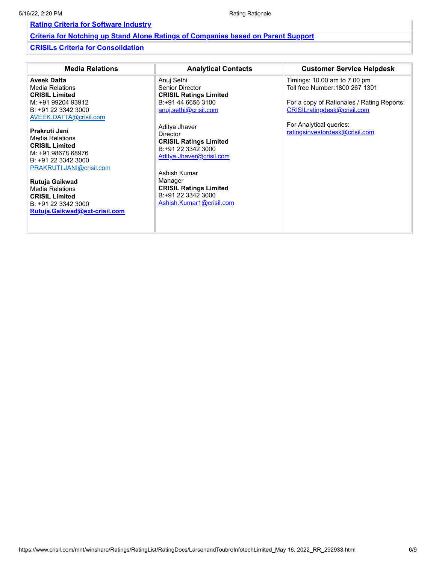**Rating Criteria for [Software](http://www.crisil.com//Ratings//SectorMethodology//MethodologyDocs//criteria//Rating%20Criteria%20for%20Software%20Industry.pdf) Industry**

**Criteria for Notching up Stand Alone Ratings of [Companies](http://www.crisil.com//Ratings//SectorMethodology//MethodologyDocs//criteria//Criteria%20for%20Notching%20up%20Stand%20Alone%20Ratings%20of%20Companies%20based%20on%20Parent%20Support.pdf) based on Parent Support**

**CRISILs Criteria for [Consolidation](http://www.crisil.com//Ratings//SectorMethodology//MethodologyDocs//criteria//CRISILs%20Criteria%20for%20Consolidation.pdf)**

| <b>Media Relations</b>                                                                                                                                                                                         | <b>Analytical Contacts</b>                                                                                                                                                                                                        | <b>Customer Service Helpdesk</b>                                                                                                             |
|----------------------------------------------------------------------------------------------------------------------------------------------------------------------------------------------------------------|-----------------------------------------------------------------------------------------------------------------------------------------------------------------------------------------------------------------------------------|----------------------------------------------------------------------------------------------------------------------------------------------|
| <b>Aveek Datta</b><br><b>Media Relations</b><br><b>CRISIL Limited</b><br>M: +91 99204 93912<br>B: +91 22 3342 3000<br>AVEEK.DATTA@crisil.com                                                                   | Anuj Sethi<br>Senior Director<br><b>CRISIL Ratings Limited</b><br>B:+91 44 6656 3100<br>anuj.sethi@crisil.com                                                                                                                     | Timings: 10.00 am to 7.00 pm<br>Toll free Number: 1800 267 1301<br>For a copy of Rationales / Rating Reports:<br>CRISILratingdesk@crisil.com |
| Prakruti Jani<br><b>Media Relations</b><br><b>CRISIL Limited</b><br>M: +91 98678 68976<br>B: +91 22 3342 3000<br>PRAKRUTI.JANI@crisil.com<br>Rutuja Gaikwad<br><b>Media Relations</b><br><b>CRISIL Limited</b> | Aditya Jhaver<br><b>Director</b><br><b>CRISIL Ratings Limited</b><br>B:+91 22 3342 3000<br>Aditya.Jhaver@crisil.com<br>Ashish Kumar<br>Manager<br><b>CRISIL Ratings Limited</b><br>B:+91 22 3342 3000<br>Ashish.Kumar1@crisil.com | For Analytical queries:<br>ratingsinvestordesk@crisil.com                                                                                    |
| B: +91 22 3342 3000<br>Rutuja.Gaikwad@ext-crisil.com                                                                                                                                                           |                                                                                                                                                                                                                                   |                                                                                                                                              |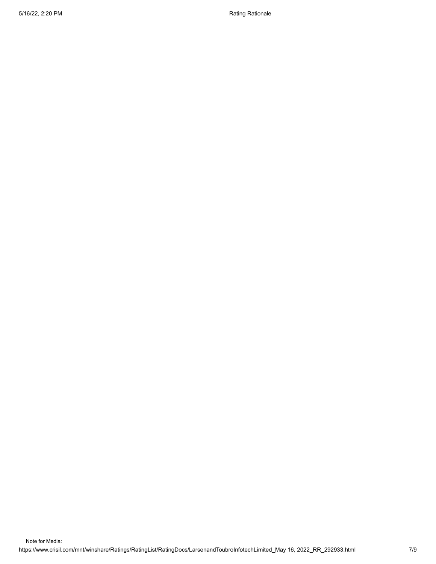5/16/22, 2:20 PM Rationale Rationale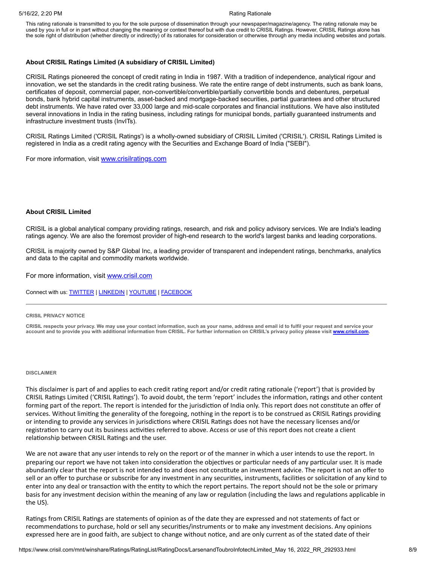#### 5/16/22, 2:20 PM **Rationale Rationale Rationale Rationale Rationale Rationale**

This rating rationale is transmitted to you for the sole purpose of dissemination through your newspaper/magazine/agency. The rating rationale may be used by you in full or in part without changing the meaning or context thereof but with due credit to CRISIL Ratings. However, CRISIL Ratings alone has the sole right of distribution (whether directly or indirectly) of its rationales for consideration or otherwise through any media including websites and portals.

#### **About CRISIL Ratings Limited (A subsidiary of CRISIL Limited)**

CRISIL Ratings pioneered the concept of credit rating in India in 1987. With a tradition of independence, analytical rigour and innovation, we set the standards in the credit rating business. We rate the entire range of debt instruments, such as bank loans, certificates of deposit, commercial paper, non-convertible/convertible/partially convertible bonds and debentures, perpetual bonds, bank hybrid capital instruments, asset-backed and mortgage-backed securities, partial guarantees and other structured debt instruments. We have rated over 33,000 large and mid-scale corporates and financial institutions. We have also instituted several innovations in India in the rating business, including ratings for municipal bonds, partially guaranteed instruments and infrastructure investment trusts (InvITs).

CRISIL Ratings Limited ('CRISIL Ratings') is a wholly-owned subsidiary of CRISIL Limited ('CRISIL'). CRISIL Ratings Limited is registered in India as a credit rating agency with the Securities and Exchange Board of India ("SEBI").

For more information, visit **[www.crisilratings.com](http://www.crisilratings.com/)** 

#### **About CRISIL Limited**

CRISIL is a global analytical company providing ratings, research, and risk and policy advisory services. We are India's leading ratings agency. We are also the foremost provider of high-end research to the world's largest banks and leading corporations.

CRISIL is majority owned by S&P Global Inc, a leading provider of transparent and independent ratings, benchmarks, analytics and data to the capital and commodity markets worldwide.

For more information, visit [www.crisil.com](http://www.crisil.com/)

Connect with us: [TWITTER](https://twitter.com/CRISILLimited) | [LINKEDIN](http://www.linkedin.com/company/crisil) | [YOUTUBE](https://www.youtube.com/user/CRISILLimited) | [FACEBOOK](https://www.facebook.com/CRISILLimited)

#### **CRISIL PRIVACY NOTICE**

CRISIL respects your privacy. We may use your contact information, such as your name, address and email id to fulfil your request and service your account and to provide you with additional information from CRISIL. For further information on CRISIL's privacy policy please visit [www.crisil.com.](https://www.crisil.com/en/home/crisil-privacy-notice.html)

#### **DISCLAIMER**

This disclaimer is part of and applies to each credit rating report and/or credit rating rationale ('report') that is provided by CRISIL Ratings Limited ('CRISIL Ratings'). To avoid doubt, the term 'report' includes the information, ratings and other content forming part of the report. The report is intended for the jurisdiction of India only. This report does not constitute an offer of services. Without limiting the generality of the foregoing, nothing in the report is to be construed as CRISIL Ratings providing or intending to provide any services in jurisdictions where CRISIL Ratings does not have the necessary licenses and/or registration to carry out its business activities referred to above. Access or use of this report does not create a client relationship between CRISIL Ratings and the user.

We are not aware that any user intends to rely on the report or of the manner in which a user intends to use the report. In preparing our report we have not taken into consideration the objectives or particular needs of any particular user. It is made abundantly clear that the report is not intended to and does not constitute an investment advice. The report is not an offer to sell or an offer to purchase or subscribe for any investment in any securities, instruments, facilities or solicitation of any kind to enter into any deal or transaction with the entity to which the report pertains. The report should not be the sole or primary basis for any investment decision within the meaning of any law or regulation (including the laws and regulations applicable in the US).

Ratings from CRISIL Ratings are statements of opinion as of the date they are expressed and not statements of fact or recommendations to purchase, hold or sell any securities/instruments or to make any investment decisions. Any opinions expressed here are in good faith, are subject to change without notice, and are only current as of the stated date of their